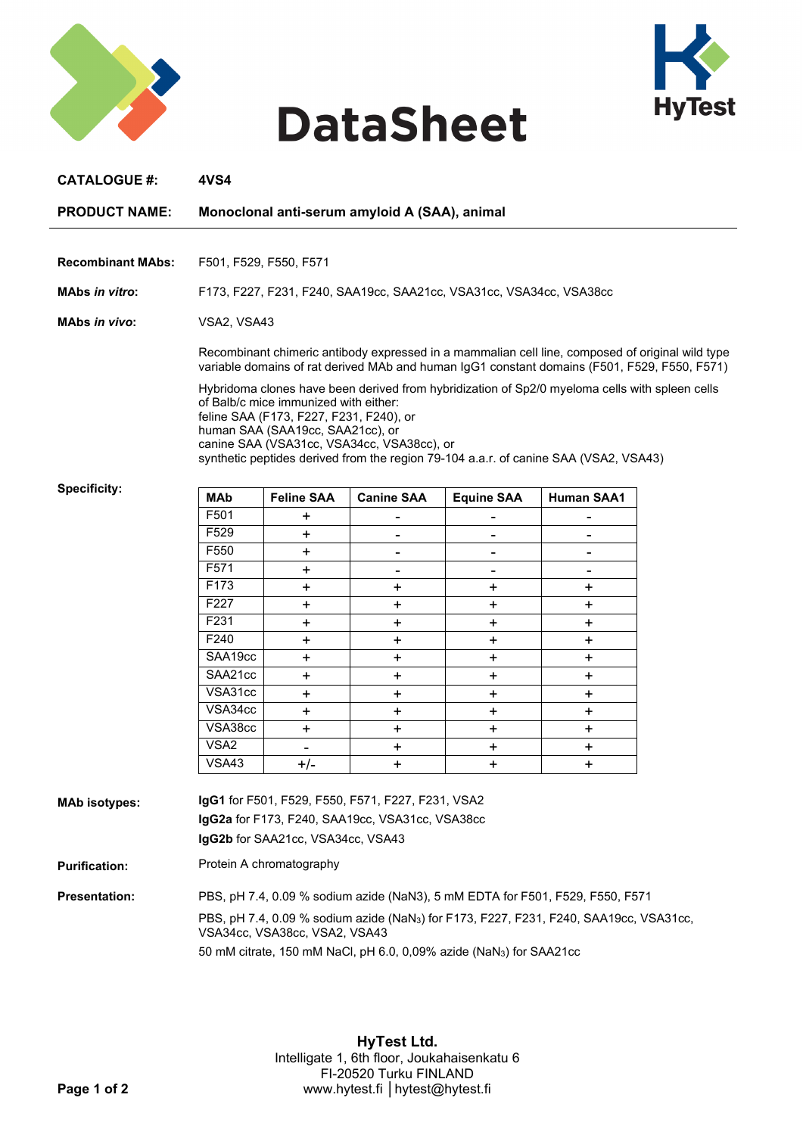

## **DataSheet**



| <b>CATALOGUE #:</b>      | <b>4VS4</b>                                                                                                                                                                                      |                                                                                                                      |                                            |                                                                                                                                                                                        |                   |  |
|--------------------------|--------------------------------------------------------------------------------------------------------------------------------------------------------------------------------------------------|----------------------------------------------------------------------------------------------------------------------|--------------------------------------------|----------------------------------------------------------------------------------------------------------------------------------------------------------------------------------------|-------------------|--|
| <b>PRODUCT NAME:</b>     | Monoclonal anti-serum amyloid A (SAA), animal                                                                                                                                                    |                                                                                                                      |                                            |                                                                                                                                                                                        |                   |  |
|                          |                                                                                                                                                                                                  |                                                                                                                      |                                            |                                                                                                                                                                                        |                   |  |
| <b>Recombinant MAbs:</b> | F501, F529, F550, F571                                                                                                                                                                           |                                                                                                                      |                                            |                                                                                                                                                                                        |                   |  |
| <b>MAbs in vitro:</b>    | F173, F227, F231, F240, SAA19cc, SAA21cc, VSA31cc, VSA34cc, VSA38cc                                                                                                                              |                                                                                                                      |                                            |                                                                                                                                                                                        |                   |  |
| <b>MAbs in vivo:</b>     |                                                                                                                                                                                                  | VSA2, VSA43                                                                                                          |                                            |                                                                                                                                                                                        |                   |  |
|                          | Recombinant chimeric antibody expressed in a mammalian cell line, composed of original wild type<br>variable domains of rat derived MAb and human IgG1 constant domains (F501, F529, F550, F571) |                                                                                                                      |                                            |                                                                                                                                                                                        |                   |  |
|                          |                                                                                                                                                                                                  | of Balb/c mice immunized with either:<br>feline SAA (F173, F227, F231, F240), or<br>human SAA (SAA19cc, SAA21cc), or | canine SAA (VSA31cc, VSA34cc, VSA38cc), or | Hybridoma clones have been derived from hybridization of Sp2/0 myeloma cells with spleen cells<br>synthetic peptides derived from the region 79-104 a.a.r. of canine SAA (VSA2, VSA43) |                   |  |
| <b>Specificity:</b>      | <b>MAb</b>                                                                                                                                                                                       | <b>Feline SAA</b>                                                                                                    | <b>Canine SAA</b>                          | <b>Equine SAA</b>                                                                                                                                                                      | <b>Human SAA1</b> |  |
|                          | F501                                                                                                                                                                                             | +                                                                                                                    |                                            |                                                                                                                                                                                        |                   |  |
|                          | F529                                                                                                                                                                                             | +                                                                                                                    |                                            | $\blacksquare$                                                                                                                                                                         | ۰                 |  |
|                          | F550                                                                                                                                                                                             | +                                                                                                                    | ۰                                          | $\blacksquare$                                                                                                                                                                         | ۰                 |  |
|                          | F571                                                                                                                                                                                             | ٠.                                                                                                                   | ۰                                          | ۰                                                                                                                                                                                      | ۰                 |  |
|                          | F173                                                                                                                                                                                             | +                                                                                                                    | +                                          | +                                                                                                                                                                                      | +                 |  |
|                          | F227                                                                                                                                                                                             | ٠.                                                                                                                   | ÷                                          | +                                                                                                                                                                                      | ٠.                |  |
|                          | F231                                                                                                                                                                                             | +                                                                                                                    | +                                          | +                                                                                                                                                                                      | ٠.                |  |
|                          | F240                                                                                                                                                                                             | +                                                                                                                    | ٠.                                         | +                                                                                                                                                                                      | ٠.                |  |
|                          | SAA19cc                                                                                                                                                                                          | $\ddot{}$                                                                                                            | ٠.                                         | $\ddot{}$                                                                                                                                                                              | ٠.                |  |
|                          | SAA21cc                                                                                                                                                                                          | ٠.                                                                                                                   | $\ddot{}$                                  | +                                                                                                                                                                                      | +                 |  |
|                          | VSA31cc                                                                                                                                                                                          | +                                                                                                                    | +                                          | +                                                                                                                                                                                      | +                 |  |
|                          | VSA34cc                                                                                                                                                                                          | ٠.                                                                                                                   | ٠.                                         | +                                                                                                                                                                                      | ٠.                |  |
|                          | VSA38cc                                                                                                                                                                                          | +                                                                                                                    | $\ddot{}$                                  | +                                                                                                                                                                                      | +                 |  |
|                          | VSA <sub>2</sub>                                                                                                                                                                                 | $\overline{\phantom{0}}$                                                                                             | ٠.                                         | ٠.                                                                                                                                                                                     | +                 |  |
|                          | $\overline{\text{VSA}}$ 43                                                                                                                                                                       | $+/-$                                                                                                                | $\ddot{}$                                  | $\ddot{}$                                                                                                                                                                              | +                 |  |
| <b>MAb isotypes:</b>     | IgG1 for F501, F529, F550, F571, F227, F231, VSA2<br>IgG2a for F173, F240, SAA19cc, VSA31cc, VSA38cc<br>IgG2b for SAA21cc, VSA34cc, VSA43                                                        |                                                                                                                      |                                            |                                                                                                                                                                                        |                   |  |
| <b>Purification:</b>     | Protein A chromatography                                                                                                                                                                         |                                                                                                                      |                                            |                                                                                                                                                                                        |                   |  |
| <b>Presentation:</b>     | PBS, pH 7.4, 0.09 % sodium azide (NaN3), 5 mM EDTA for F501, F529, F550, F571                                                                                                                    |                                                                                                                      |                                            |                                                                                                                                                                                        |                   |  |
|                          | PBS, pH 7.4, 0.09 % sodium azide (NaN <sub>3</sub> ) for F173, F227, F231, F240, SAA19cc, VSA31cc,<br>VSA34cc, VSA38cc, VSA2, VSA43                                                              |                                                                                                                      |                                            |                                                                                                                                                                                        |                   |  |
|                          |                                                                                                                                                                                                  | 50 mM citrate, 150 mM NaCl, pH 6.0, 0,09% azide (NaN <sub>3</sub> ) for SAA21cc                                      |                                            |                                                                                                                                                                                        |                   |  |
|                          |                                                                                                                                                                                                  |                                                                                                                      |                                            |                                                                                                                                                                                        |                   |  |

**HyTest Ltd.** Intelligate 1, 6th floor, Joukahaisenkatu 6 FI-20520 Turku FINLAND **Page 1 of 2** www.hytest.fi **│**hytest@hytest.fi